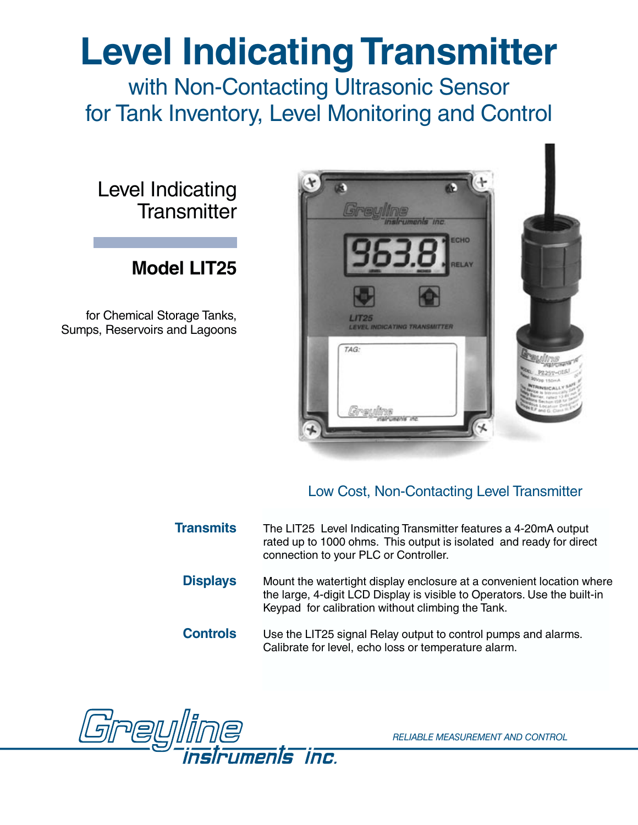# **Level Indicating Transmitter**

with Non-Contacting Ultrasonic Sensor for Tank Inventory, Level Monitoring and Control

Level Indicating **Transmitter** 

### **Model LIT25**

for Chemical Storage Tanks, Sumps, Reservoirs and Lagoons



#### Low Cost, Non-Contacting Level Transmitter

**Transmits** The LIT25 Level Indicating Transmitter features a 4-20mA output rated up to 1000 ohms. This output is isolated and ready for direct connection to your PLC or Controller.

- **Displays** Mount the watertight display enclosure at a convenient location where the large, 4-digit LCD Display is visible to Operators. Use the built-in Keypad for calibration without climbing the Tank.
- **Controls** Use the LIT25 signal Relay output to control pumps and alarms. Calibrate for level, echo loss or temperature alarm.



*RELIABLE MEASUREMENT AND CONTROL*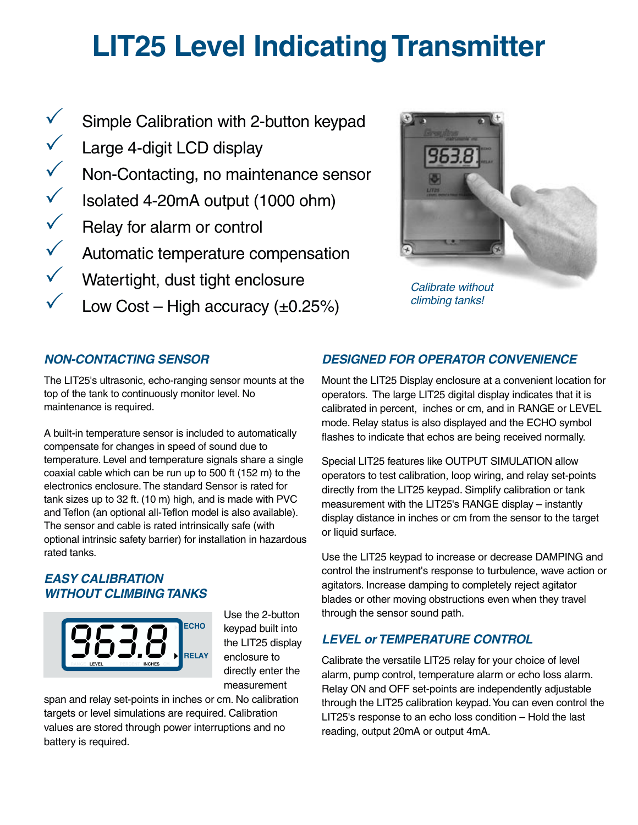## **LIT25 Level Indicating Transmitter**

- $\checkmark$  $\checkmark$ V Non-Contacting, no maintenance sensor  $\checkmark$  Isolated 4-20mA output (1000 ohm)  $\checkmark$  Relay for alarm or control  $\checkmark$  $\checkmark$ Simple Calibration with 2-button keypad Large 4-digit LCD display Automatic temperature compensation Watertight, dust tight enclosure
- $\checkmark$ Low Cost – High accuracy  $(\pm 0.25\%)$



Calibrate without climbing tanks!

#### **NON-CONTACTING SENSOR**

The LIT25's ultrasonic, echo-ranging sensor mounts at the top of the tank to continuously monitor level. No maintenance is required.

A built-in temperature sensor is included to automatically compensate for changes in speed of sound due to temperature. Level and temperature signals share a single coaxial cable which can be run up to 500 ft (152 m) to the electronics enclosure. The standard Sensor is rated for tank sizes up to 32 ft. (10 m) high, and is made with PVC and Teflon (an optional all-Teflon model is also available). The sensor and cable is rated intrinsically safe (with optional intrinsic safety barrier) for installation in hazardous rated tanks.

#### **EASY CALIBRATION WITHOUT CLIMBING TANKS**



Use the 2-button keypad built into the LIT25 display enclosure to directly enter the measurement

span and relay set-points in inches or cm. No calibration targets or level simulations are required. Calibration values are stored through power interruptions and no battery is required.

#### **DESIGNED FOR OPERATOR CONVENIENCE**

Mount the LIT25 Display enclosure at a convenient location for operators. The large LIT25 digital display indicates that it is calibrated in percent, inches or cm, and in RANGE or LEVEL mode. Relay status is also displayed and the ECHO symbol flashes to indicate that echos are being received normally.

Special LIT25 features like OUTPUT SIMULATION allow operators to test calibration, loop wiring, and relay set-points directly from the LIT25 keypad. Simplify calibration or tank measurement with the LIT25's RANGE display – instantly display distance in inches or cm from the sensor to the target or liquid surface.

Use the LIT25 keypad to increase or decrease DAMPING and control the instrument's response to turbulence, wave action or agitators. Increase damping to completely reject agitator blades or other moving obstructions even when they travel through the sensor sound path.

#### **LEVEL or TEMPERATURE CONTROL**

Calibrate the versatile LIT25 relay for your choice of level alarm, pump control, temperature alarm or echo loss alarm. Relay ON and OFF set-points are independently adjustable through the LIT25 calibration keypad.You can even control the LIT25's response to an echo loss condition – Hold the last reading, output 20mA or output 4mA.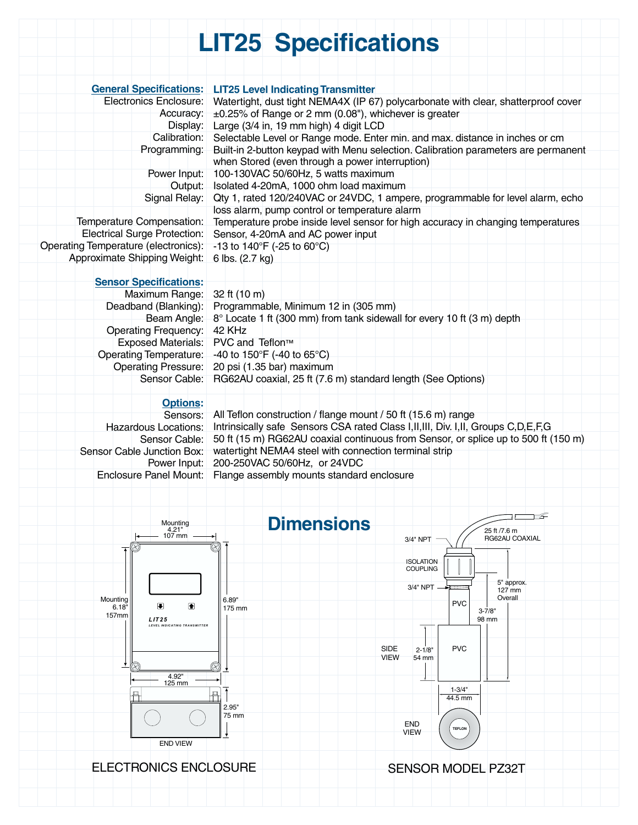## **LIT25 Specifications**

|                                                                   | <b>General Specifications: LIT25 Level Indicating Transmitter</b>                                                                                |
|-------------------------------------------------------------------|--------------------------------------------------------------------------------------------------------------------------------------------------|
| Electronics Enclosure:<br>Accuracy:                               | Watertight, dust tight NEMA4X (IP 67) polycarbonate with clear, shatterproof cover<br>$\pm$ 0.25% of Range or 2 mm (0.08"), whichever is greater |
| Display:                                                          | Large (3/4 in, 19 mm high) 4 digit LCD                                                                                                           |
| Calibration:                                                      | Selectable Level or Range mode. Enter min. and max. distance in inches or cm                                                                     |
| Programming:                                                      | Built-in 2-button keypad with Menu selection. Calibration parameters are permanent                                                               |
|                                                                   | when Stored (even through a power interruption)                                                                                                  |
| Power Input:                                                      | 100-130VAC 50/60Hz, 5 watts maximum                                                                                                              |
| Output:                                                           | Isolated 4-20mA, 1000 ohm load maximum                                                                                                           |
| Signal Relay:                                                     | Qty 1, rated 120/240VAC or 24VDC, 1 ampere, programmable for level alarm, echo                                                                   |
| Temperature Compensation:                                         | loss alarm, pump control or temperature alarm<br>Temperature probe inside level sensor for high accuracy in changing temperatures                |
| Electrical Surge Protection:                                      | Sensor, 4-20mA and AC power input                                                                                                                |
| Operating Temperature (electronics):                              | -13 to 140°F (-25 to 60°C)                                                                                                                       |
| Approximate Shipping Weight:                                      | 6 lbs. (2.7 kg)                                                                                                                                  |
|                                                                   |                                                                                                                                                  |
| <b>Sensor Specifications:</b>                                     |                                                                                                                                                  |
| Maximum Range:                                                    | $32$ ft (10 m)                                                                                                                                   |
|                                                                   | Deadband (Blanking): Programmable, Minimum 12 in (305 mm)                                                                                        |
| Beam Angle:                                                       | 8° Locate 1 ft (300 mm) from tank sidewall for every 10 ft (3 m) depth                                                                           |
| <b>Operating Frequency:</b><br>Exposed Materials: PVC and Teflon™ | 42 KHz                                                                                                                                           |
| Operating Temperature:                                            | -40 to 150°F (-40 to 65°C)                                                                                                                       |
| <b>Operating Pressure:</b>                                        | 20 psi (1.35 bar) maximum                                                                                                                        |
| Sensor Cable:                                                     | RG62AU coaxial, 25 ft (7.6 m) standard length (See Options)                                                                                      |
|                                                                   |                                                                                                                                                  |
| <b>Options:</b>                                                   |                                                                                                                                                  |
|                                                                   | Sensors: All Teflon construction / flange mount / 50 ft (15.6 m) range                                                                           |
| <b>Hazardous Locations:</b>                                       | Intrinsically safe Sensors CSA rated Class I, II, III, Div. I, II, Groups C, D, E, F, G                                                          |
| Sensor Cable:                                                     | 50 ft (15 m) RG62AU coaxial continuous from Sensor, or splice up to 500 ft (150 m)                                                               |
| Sensor Cable Junction Box:<br>Power Input:                        | watertight NEMA4 steel with connection terminal strip<br>200-250VAC 50/60Hz, or 24VDC                                                            |
| Enclosure Panel Mount:                                            | Flange assembly mounts standard enclosure                                                                                                        |
|                                                                   |                                                                                                                                                  |
|                                                                   |                                                                                                                                                  |
|                                                                   |                                                                                                                                                  |
| Mounting<br>4.21"                                                 | <b>Dimensions</b><br>25 ft /7.6 m                                                                                                                |
| 107 mm                                                            | RG62AU COAXIAL<br>3/4" NPT                                                                                                                       |
|                                                                   |                                                                                                                                                  |
|                                                                   | <b>ISOLATION</b><br><b>COUPLING</b>                                                                                                              |
|                                                                   | 5" approx.<br>3/4" NPT                                                                                                                           |
| Mounting                                                          | 127 mm<br>Overall<br>6.89"                                                                                                                       |
| ▣<br>图<br>6.18"                                                   | <b>PVC</b><br>175 mm<br>$3 - 7/8$ "                                                                                                              |
| 157mm<br><b>LIT25</b><br>LEVEL INDICATING TRANSMITTER             | 98 mm                                                                                                                                            |
|                                                                   |                                                                                                                                                  |
|                                                                   | <b>PVC</b><br>SIDE<br>$2 - 1/8"$                                                                                                                 |
|                                                                   | <b>VIEW</b><br>54 mm<br>R,                                                                                                                       |
| 4.92"                                                             |                                                                                                                                                  |
| 125 mm<br>皿                                                       | $1 - 3/4"$<br>$\overline{\mathsf{H}}$                                                                                                            |
|                                                                   | 44.5 mm<br>2.95"                                                                                                                                 |
|                                                                   | 75 mm                                                                                                                                            |
|                                                                   | <b>END</b><br><b>TEFLON</b><br>VIEW                                                                                                              |
| <b>END VIEW</b>                                                   |                                                                                                                                                  |
|                                                                   |                                                                                                                                                  |
| <b>ELECTRONICS ENCLOSURE</b>                                      | <b>SENSOR MODEL PZ32T</b>                                                                                                                        |
|                                                                   |                                                                                                                                                  |
|                                                                   |                                                                                                                                                  |
|                                                                   |                                                                                                                                                  |